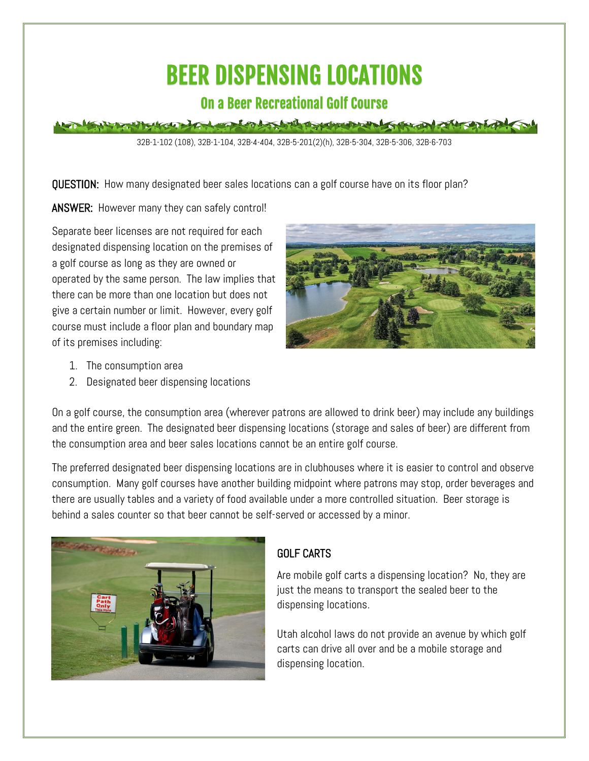# BEER DISPENSING LOCATIONS

## On a Beer Recreational Golf Course

## the local devices of the following the form of the state

32B-1-102 (108), 32B-1-104, 32B-4-404, 32B-5-201(2)(h), 32B-5-304, 32B-5-306, 32B-6-703

QUESTION: How many designated beer sales locations can a golf course have on its floor plan?

ANSWER: However many they can safely control!

Separate beer licenses are not required for each designated dispensing location on the premises of a golf course as long as they are owned or operated by the same person. The law implies that there can be more than one location but does not give a certain number or limit. However, every golf course must include a floor plan and boundary map of its premises including:



- 1. The consumption area
- 2. Designated beer dispensing locations

On a golf course, the consumption area (wherever patrons are allowed to drink beer) may include any buildings and the entire green. The designated beer dispensing locations (storage and sales of beer) are different from the consumption area and beer sales locations cannot be an entire golf course.

The preferred designated beer dispensing locations are in clubhouses where it is easier to control and observe consumption. Many golf courses have another building midpoint where patrons may stop, order beverages and there are usually tables and a variety of food available under a more controlled situation. Beer storage is behind a sales counter so that beer cannot be self-served or accessed by a minor.



### GOLF CARTS

Are mobile golf carts a dispensing location? No, they are just the means to transport the sealed beer to the dispensing locations.

Utah alcohol laws do not provide an avenue by which golf carts can drive all over and be a mobile storage and dispensing location.